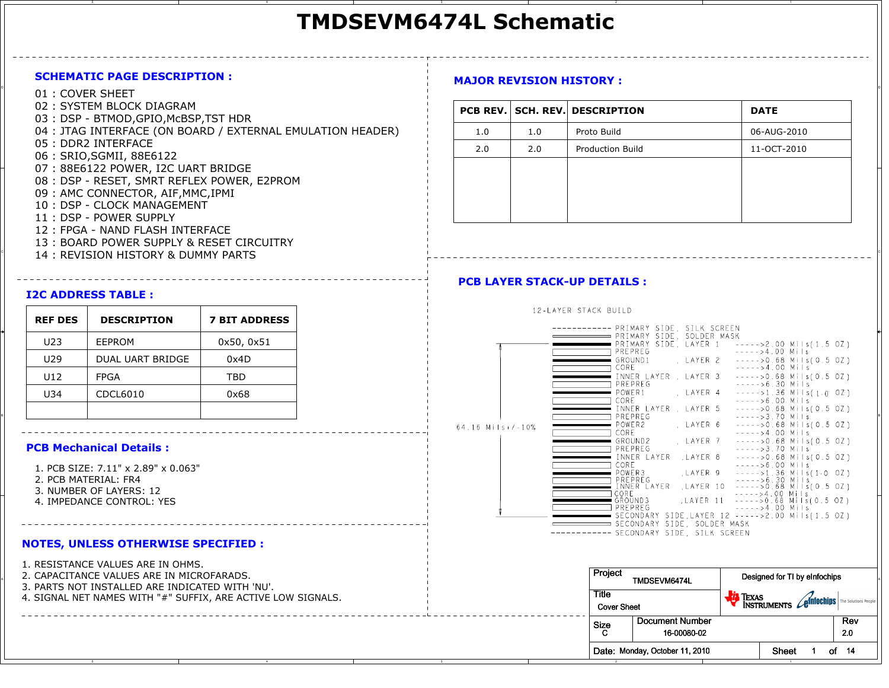# **TMDSEVM6474L Schematic**

#### **SCHEMATIC PAGE DESCRIPTION :**

- <sup>D</sup> 01 : COVER SHEET
	- 02 : SYSTEM BLOCK DIAGRAM
	- 03 : DSP BTMOD,GPIO,McBSP,TST HDR
	- 04 : JTAG INTERFACE (ON BOARD / EXTERNAL EMULATION HEADER)
	- 05 : DDR2 INTERFACE
	- 06 : SRIO,SGMII, 88E6122
	- 07 : 88E6122 POWER, I2C UART BRIDGE
	- 08 : DSP RESET, SMRT REFLEX POWER, E2PROM
	- 09 : AMC CONNECTOR, AIF,MMC,IPMI
	- 10 : DSP CLOCK MANAGEMENT
	- 11 : DSP POWER SUPPLY
	- 12 : FPGA NAND FLASH INTERFACE
	- 13 : BOARD POWER SUPPLY & RESET CIRCUITRY
- <sup>C</sup> 14 : REVISION HISTORY & DUMMY PARTS

#### **I2C ADDRESS TABLE :**

| <b>REF DES</b> | <b>DESCRIPTION</b>      | <b>7 BIT ADDRESS</b> |
|----------------|-------------------------|----------------------|
| U23            | EEPROM                  | 0x50, 0x51           |
| U29            | <b>DUAL UART BRIDGE</b> | 0x4D                 |
| U12            | <b>FPGA</b>             | TBD                  |
| U34            | CDCL6010                | 0x68                 |
|                |                         |                      |

#### **PCB Mechanical Details :**

- 1. PCB SIZE: 7.11" x 2.89" x 0.063"
- 2. PCB MATERIAL: FR4

- 3. NUMBER OF LAYERS: 12
- 4. IMPEDANCE CONTROL: YES

#### **NOTES, UNLESS OTHERWISE SPECIFIED :**

1. RESISTANCE VALUES ARE IN OHMS.

- 2. CAPACITANCE VALUES ARE IN MICROFARADS.
- 3. PARTS NOT INSTALLED ARE INDICATED WITH 'NU'.
- 4. SIGNAL NET NAMES WITH "#" SUFFIX, ARE ACTIVE LOW SIGNALS.

## **MAJOR REVISION HISTORY :**

|     |     | <b>PCB REV. SCH. REV. DESCRIPTION</b> | <b>DATE</b> |
|-----|-----|---------------------------------------|-------------|
| 1.0 | 1.0 | Proto Build                           | 06-AUG-2010 |
| 2.0 | 2.0 | <b>Production Build</b>               | 11-OCT-2010 |
|     |     |                                       |             |
|     |     |                                       |             |
|     |     |                                       |             |
|     |     |                                       |             |

### **PCB LAYER STACK-UP DETAILS :**

12-LAYER STACK BUILD

|                                     | KEF DES | <b>DESCRIPIION</b> | 7 BII ADDRESS |
|-------------------------------------|---------|--------------------|---------------|
|                                     |         |                    |               |
|                                     | U23     | EEPROM             | 0x50, 0x51    |
|                                     |         |                    |               |
|                                     | U29     | DUAL UART BRIDGE   | 0x4D          |
|                                     | U12     | <b>FPGA</b>        | TBD.          |
|                                     |         |                    |               |
|                                     | U34     | CDCL6010           | 0x68          |
|                                     |         |                    |               |
|                                     |         |                    |               |
|                                     |         |                    |               |
| <b>PCB Mechanical Details:</b>      |         |                    |               |
|                                     |         |                    |               |
| 1. PCB SIZE: 7.11" x 2.89" x 0.063" |         |                    |               |
| 2. PCB MATERIAL: FR4                |         |                    |               |
| 3. NUMBER OF LAYERS: 12             |         |                    |               |
| 4. IMPEDANCE CONTROL: YES           |         |                    |               |
|                                     |         |                    |               |
|                                     |         |                    |               |
|                                     |         |                    |               |
|                                     |         |                    |               |

| 2. CAPACITANCE VALUES ARE IN MICROFARADS.<br>3. PARTS NOT INSTALLED ARE INDICATED WITH 'NU'. | Project<br>TMDSEVM6474L     |                                | Designed for TI by eInfochips                              |       |
|----------------------------------------------------------------------------------------------|-----------------------------|--------------------------------|------------------------------------------------------------|-------|
| 4. SIGNAL NET NAMES WITH "#" SUFFIX, ARE ACTIVE LOW SIGNALS.                                 | Title<br><b>Cover Sheet</b> |                                | <b>TEXAS</b><br>INSTRUMENTS Conflict Dubling The Solutions |       |
|                                                                                              | Size                        | Document Number                |                                                            | Rev   |
|                                                                                              |                             | 16-00080-02                    |                                                            | 20    |
|                                                                                              |                             | Date: Monday, October 11, 2010 | <b>Sheet</b>                                               | of 14 |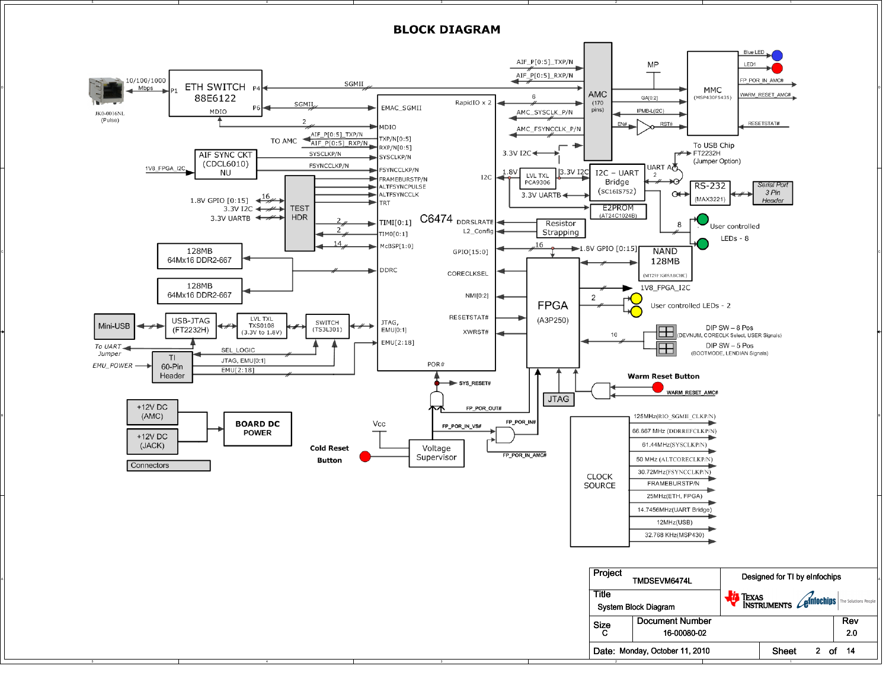

A

**BLOCK DIAGRAM**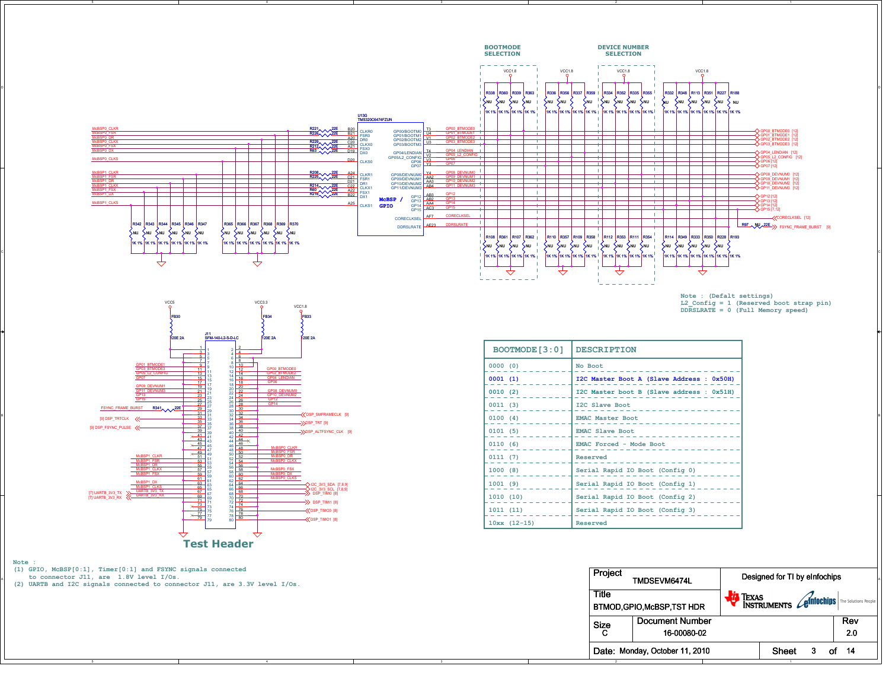

Size CDocument Number 16-00080-02

> Date: Monday, October 11, 2010 Sheet $3<sub>o</sub>$ of 14

2.0

Rev20

A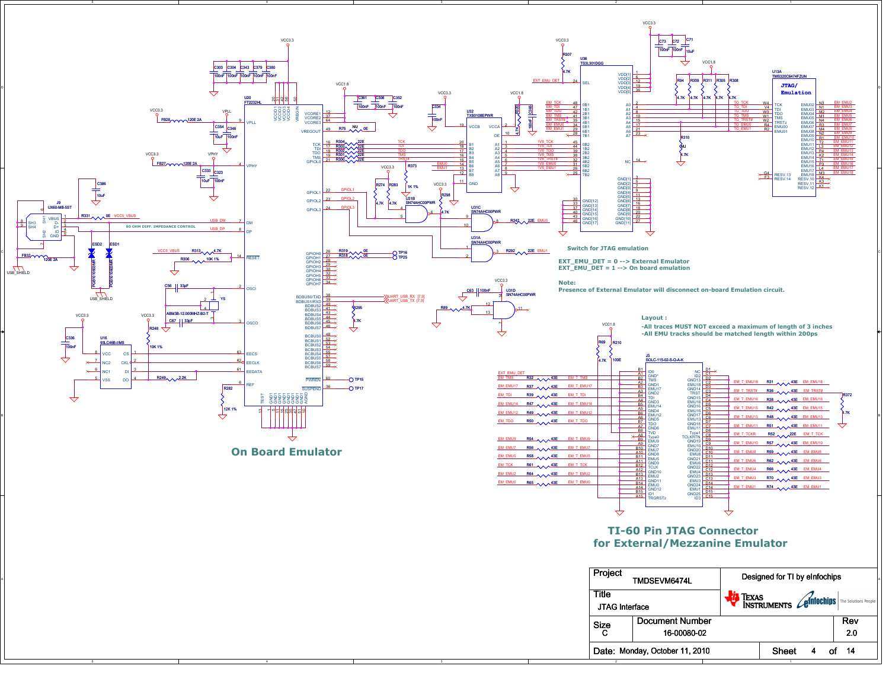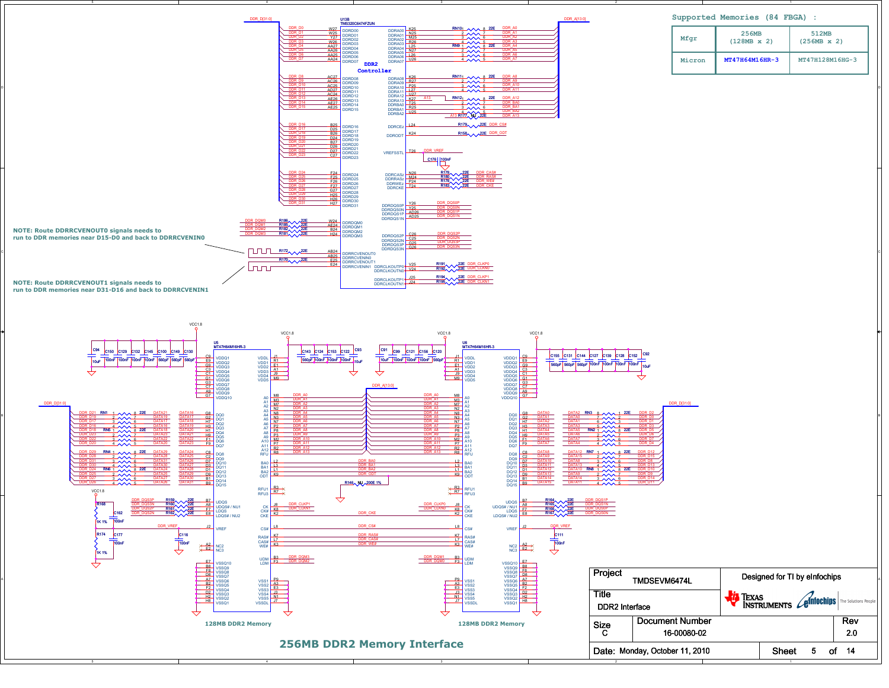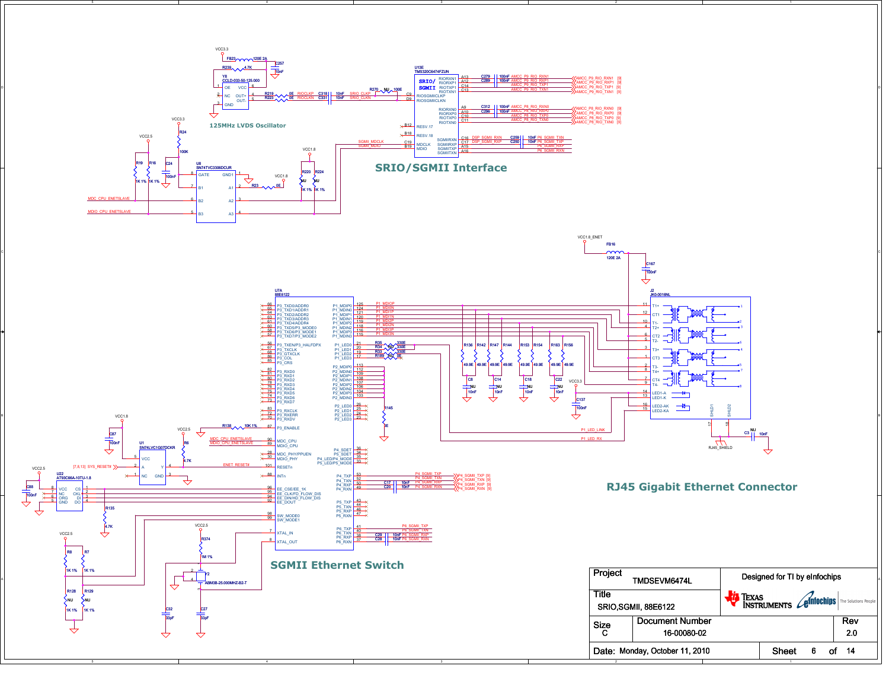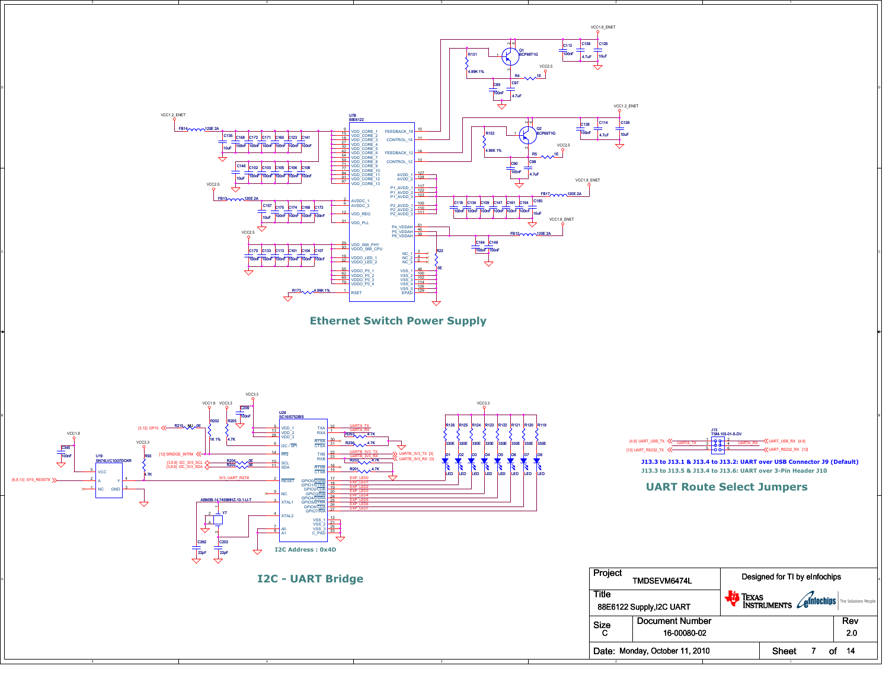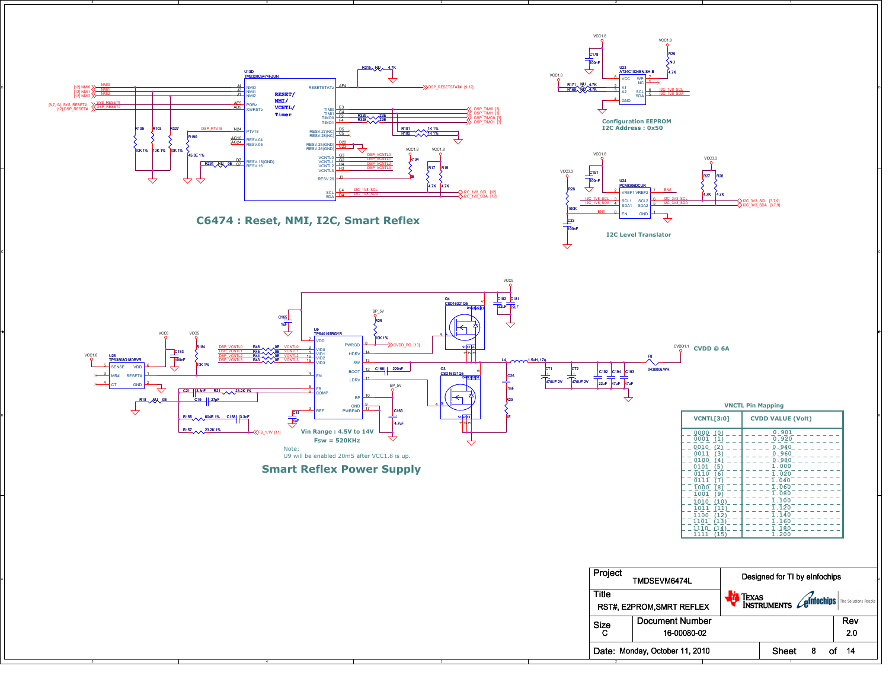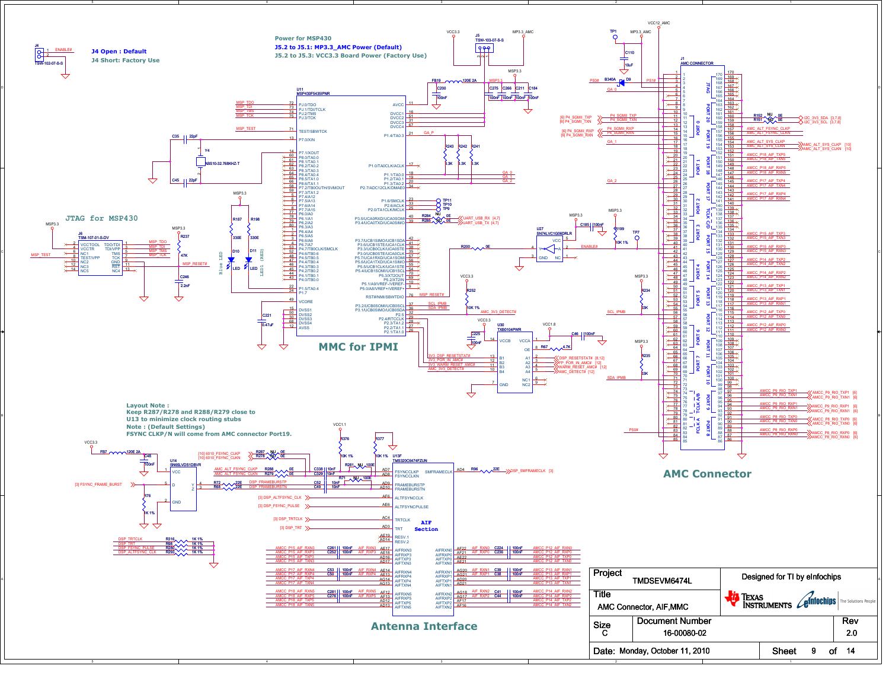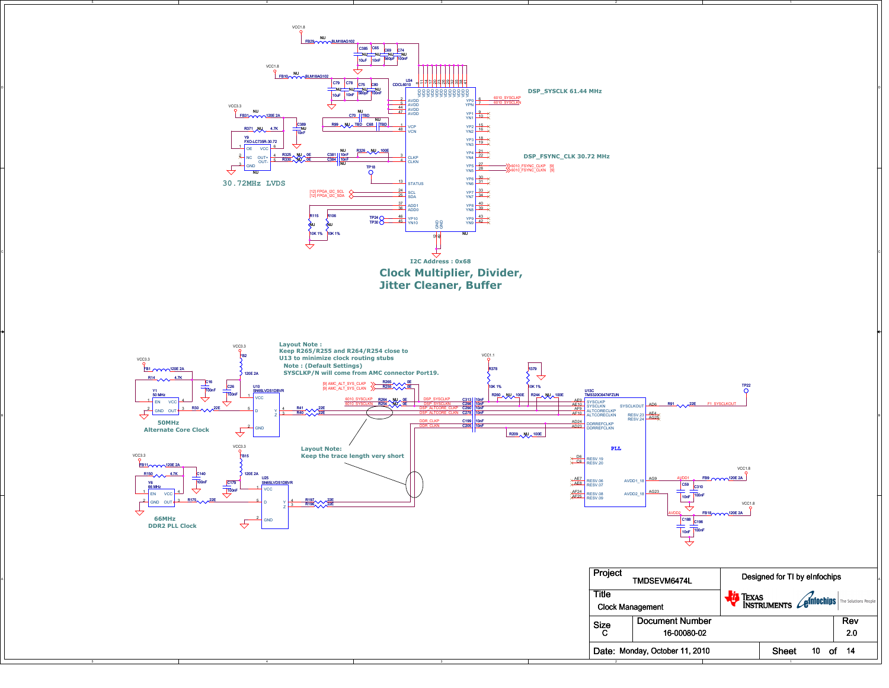

A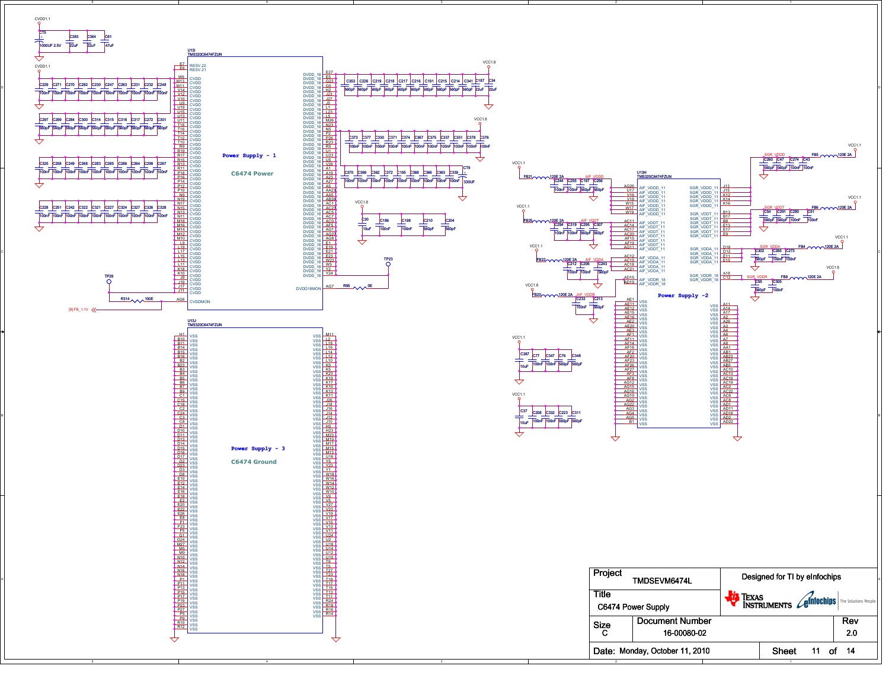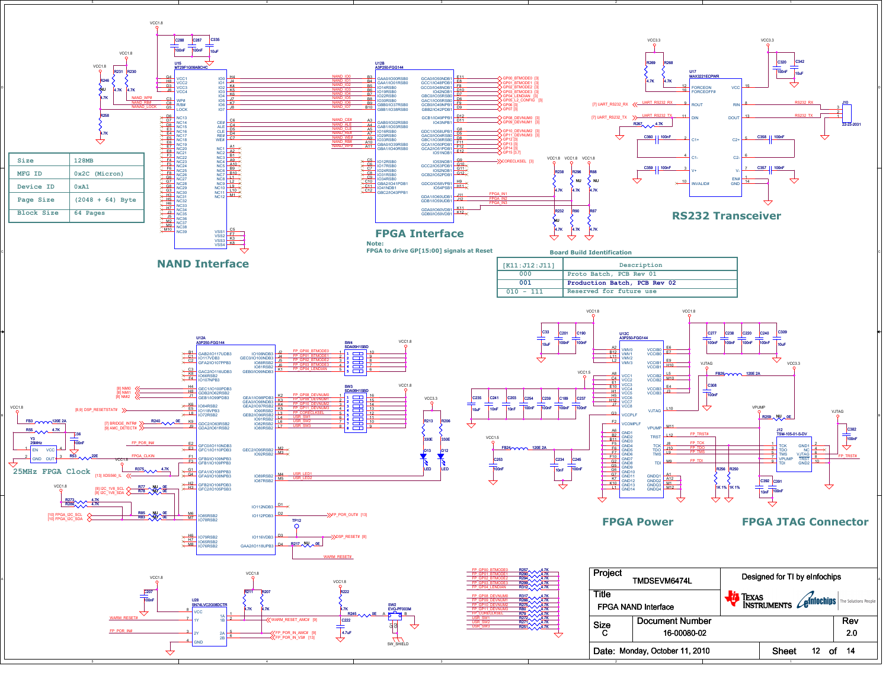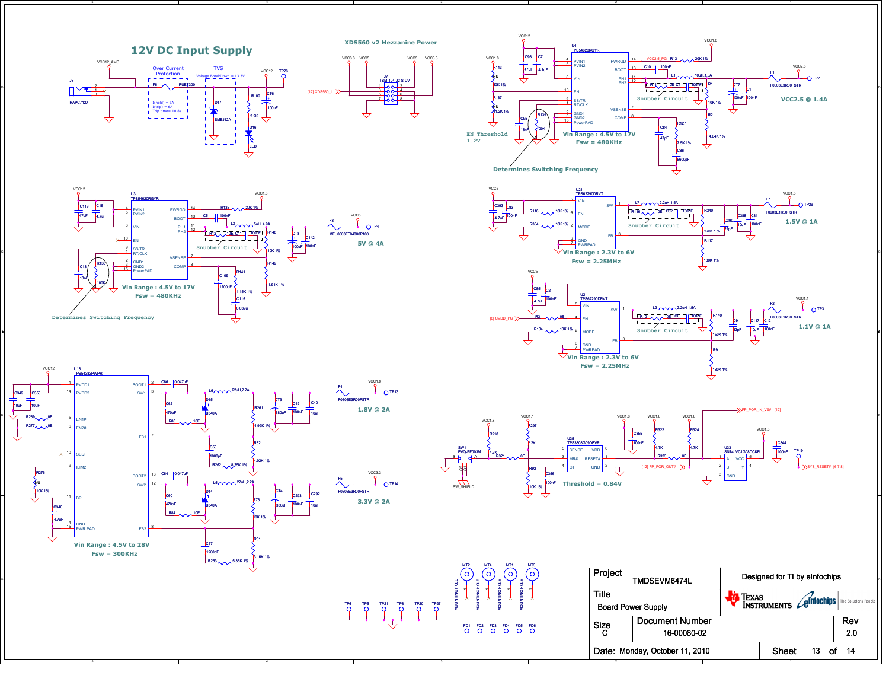